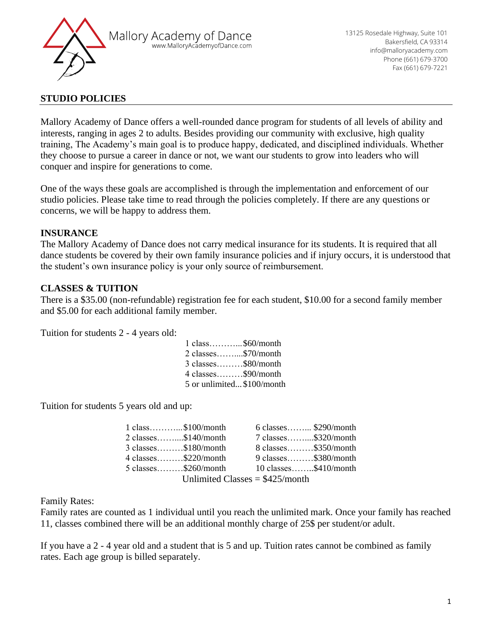

## **STUDIO POLICIES**

Mallory Academy of Dance offers a well-rounded dance program for students of all levels of ability and interests, ranging in ages 2 to adults. Besides providing our community with exclusive, high quality training, The Academy's main goal is to produce happy, dedicated, and disciplined individuals. Whether they choose to pursue a career in dance or not, we want our students to grow into leaders who will conquer and inspire for generations to come.

One of the ways these goals are accomplished is through the implementation and enforcement of our studio policies. Please take time to read through the policies completely. If there are any questions or concerns, we will be happy to address them.

# **INSURANCE**

The Mallory Academy of Dance does not carry medical insurance for its students. It is required that all dance students be covered by their own family insurance policies and if injury occurs, it is understood that the student's own insurance policy is your only source of reimbursement.

# **CLASSES & TUITION**

There is a \$35.00 (non-refundable) registration fee for each student, \$10.00 for a second family member and \$5.00 for each additional family member.

Tuition for students 2 - 4 years old:

| $1 \text{ class}$ \$60/month |  |
|------------------------------|--|
| 2 classes\$70/month          |  |
| 3 classes\$80/month          |  |
| 4 classes\$90/month          |  |
| 5 or unlimited \$100/month   |  |

Tuition for students 5 years old and up:

| $1 \text{ class} \dots \dots \dots \text{ $100/month}$ | $6$ classes \$290/month          |
|--------------------------------------------------------|----------------------------------|
| $2 \text{ classes}$ \$140/month                        | 7 classes\$320/month             |
| $3 \text{ classes}$ $$180/m$ onth                      | $8 \text{ classes}$ $$350/month$ |
| 4 classes $$220/month$                                 | 9 classes $$380/month$           |
| $5$ classes $$260/month$                               | 10 classes\$410/month            |
| $IIm$ Infimited Classes $-\frac{1275}{mm}$             |                                  |

Unlimited Classes  $=$  \$425/month

Family Rates:

Family rates are counted as 1 individual until you reach the unlimited mark. Once your family has reached 11, classes combined there will be an additional monthly charge of 25\$ per student/or adult.

If you have a 2 - 4 year old and a student that is 5 and up. Tuition rates cannot be combined as family rates. Each age group is billed separately.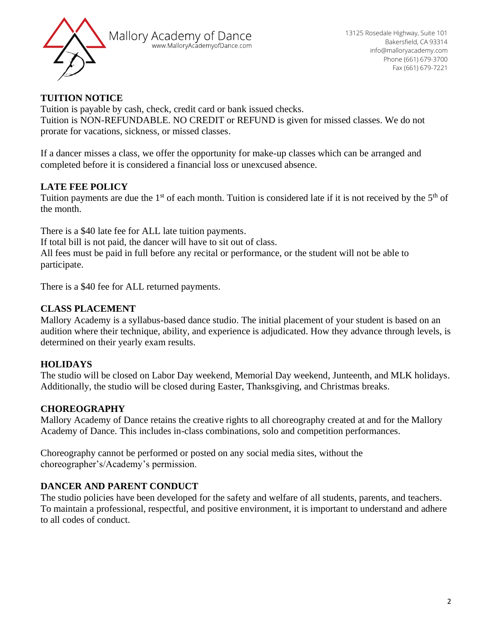

# **TUITION NOTICE**

Tuition is payable by cash, check, credit card or bank issued checks. Tuition is NON-REFUNDABLE. NO CREDIT or REFUND is given for missed classes. We do not prorate for vacations, sickness, or missed classes.

If a dancer misses a class, we offer the opportunity for make-up classes which can be arranged and completed before it is considered a financial loss or unexcused absence.

# **LATE FEE POLICY**

Tuition payments are due the  $1<sup>st</sup>$  of each month. Tuition is considered late if it is not received by the  $5<sup>th</sup>$  of the month.

There is a \$40 late fee for ALL late tuition payments. If total bill is not paid, the dancer will have to sit out of class. All fees must be paid in full before any recital or performance, or the student will not be able to participate.

There is a \$40 fee for ALL returned payments.

# **CLASS PLACEMENT**

Mallory Academy is a syllabus-based dance studio. The initial placement of your student is based on an audition where their technique, ability, and experience is adjudicated. How they advance through levels, is determined on their yearly exam results.

# **HOLIDAYS**

The studio will be closed on Labor Day weekend, Memorial Day weekend, Junteenth, and MLK holidays. Additionally, the studio will be closed during Easter, Thanksgiving, and Christmas breaks.

# **CHOREOGRAPHY**

Mallory Academy of Dance retains the creative rights to all choreography created at and for the Mallory Academy of Dance. This includes in-class combinations, solo and competition performances.

Choreography cannot be performed or posted on any social media sites, without the choreographer's/Academy's permission.

# **DANCER AND PARENT CONDUCT**

The studio policies have been developed for the safety and welfare of all students, parents, and teachers. To maintain a professional, respectful, and positive environment, it is important to understand and adhere to all codes of conduct.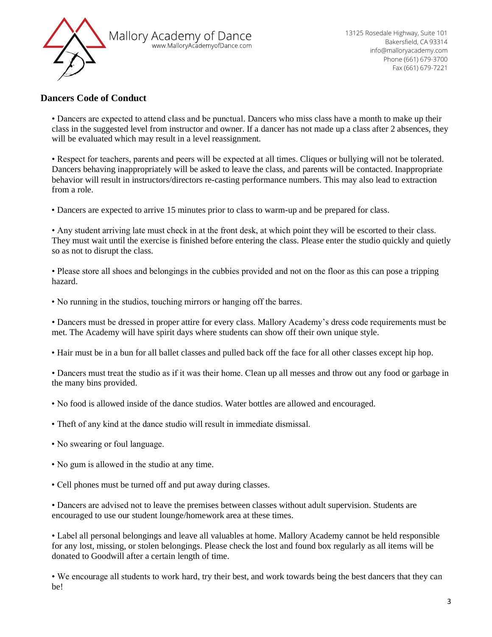

#### **Dancers Code of Conduct**

• Dancers are expected to attend class and be punctual. Dancers who miss class have a month to make up their class in the suggested level from instructor and owner. If a dancer has not made up a class after 2 absences, they will be evaluated which may result in a level reassignment.

• Respect for teachers, parents and peers will be expected at all times. Cliques or bullying will not be tolerated. Dancers behaving inappropriately will be asked to leave the class, and parents will be contacted. Inappropriate behavior will result in instructors/directors re-casting performance numbers. This may also lead to extraction from a role.

• Dancers are expected to arrive 15 minutes prior to class to warm-up and be prepared for class.

• Any student arriving late must check in at the front desk, at which point they will be escorted to their class. They must wait until the exercise is finished before entering the class. Please enter the studio quickly and quietly so as not to disrupt the class.

• Please store all shoes and belongings in the cubbies provided and not on the floor as this can pose a tripping hazard.

• No running in the studios, touching mirrors or hanging off the barres.

• Dancers must be dressed in proper attire for every class. Mallory Academy's dress code requirements must be met. The Academy will have spirit days where students can show off their own unique style.

• Hair must be in a bun for all ballet classes and pulled back off the face for all other classes except hip hop.

• Dancers must treat the studio as if it was their home. Clean up all messes and throw out any food or garbage in the many bins provided.

- No food is allowed inside of the dance studios. Water bottles are allowed and encouraged.
- Theft of any kind at the dance studio will result in immediate dismissal.
- No swearing or foul language.
- No gum is allowed in the studio at any time.
- Cell phones must be turned off and put away during classes.

• Dancers are advised not to leave the premises between classes without adult supervision. Students are encouraged to use our student lounge/homework area at these times.

• Label all personal belongings and leave all valuables at home. Mallory Academy cannot be held responsible for any lost, missing, or stolen belongings. Please check the lost and found box regularly as all items will be donated to Goodwill after a certain length of time.

• We encourage all students to work hard, try their best, and work towards being the best dancers that they can be!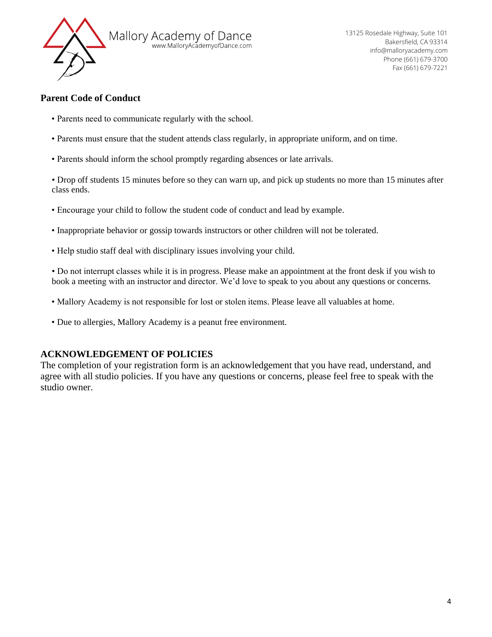

#### **Parent Code of Conduct**

- Parents need to communicate regularly with the school.
- Parents must ensure that the student attends class regularly, in appropriate uniform, and on time.
- Parents should inform the school promptly regarding absences or late arrivals.

• Drop off students 15 minutes before so they can warn up, and pick up students no more than 15 minutes after class ends.

- Encourage your child to follow the student code of conduct and lead by example.
- Inappropriate behavior or gossip towards instructors or other children will not be tolerated.
- Help studio staff deal with disciplinary issues involving your child.

• Do not interrupt classes while it is in progress. Please make an appointment at the front desk if you wish to book a meeting with an instructor and director. We'd love to speak to you about any questions or concerns.

- Mallory Academy is not responsible for lost or stolen items. Please leave all valuables at home.
- Due to allergies, Mallory Academy is a peanut free environment.

# **ACKNOWLEDGEMENT OF POLICIES**

The completion of your registration form is an acknowledgement that you have read, understand, and agree with all studio policies. If you have any questions or concerns, please feel free to speak with the studio owner.